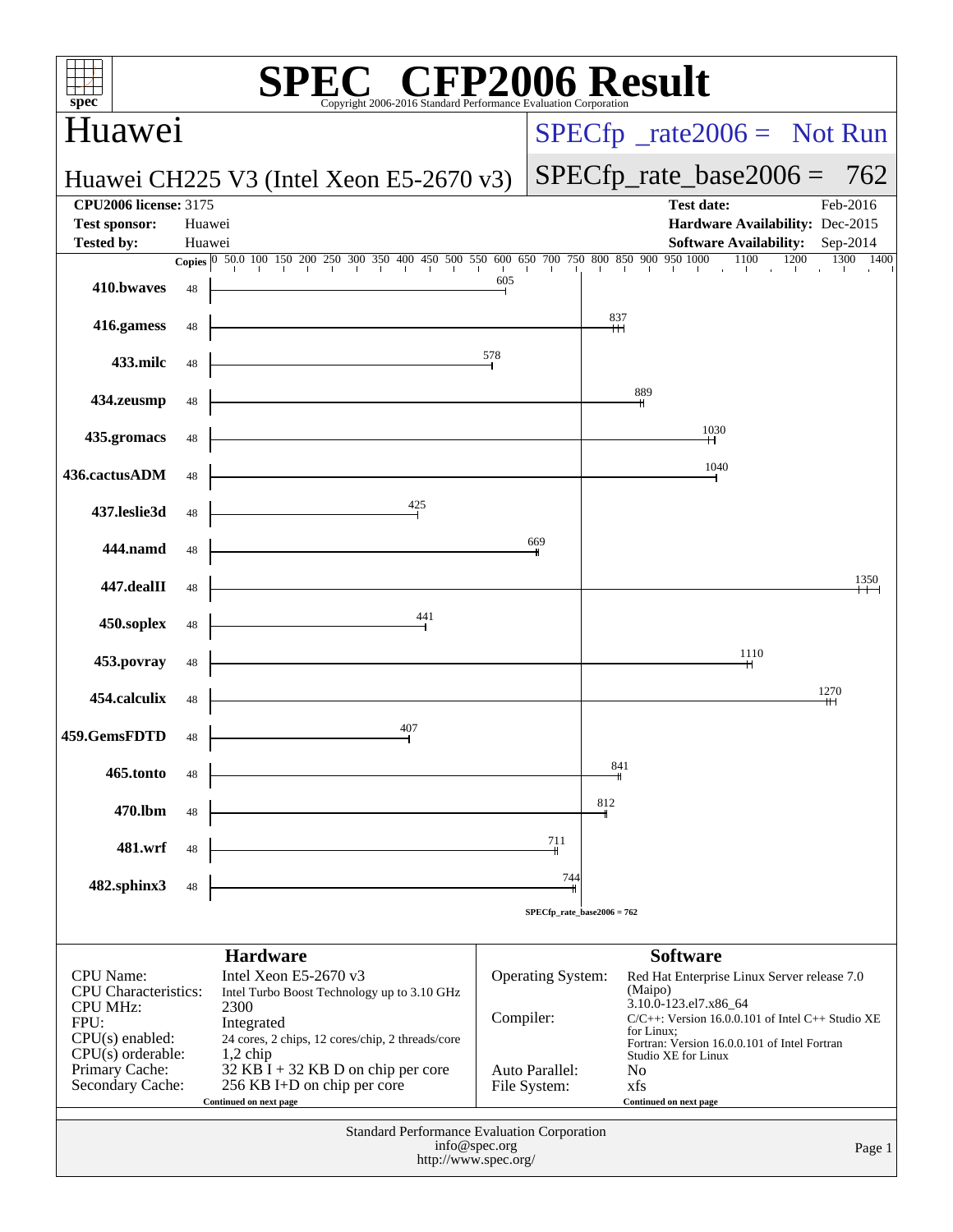| ${\bf spec}^*$                                       |        |                        |                         | Copyright 2006-2016 Standard Performance Evaluation Corr                                                                                                                  |                 | $\mathbb{C}^{\circledast}$ CFP2006 Result   |           |                                 |     |            |                        |                                                       |      |      |          |
|------------------------------------------------------|--------|------------------------|-------------------------|---------------------------------------------------------------------------------------------------------------------------------------------------------------------------|-----------------|---------------------------------------------|-----------|---------------------------------|-----|------------|------------------------|-------------------------------------------------------|------|------|----------|
| Huawei                                               |        |                        |                         |                                                                                                                                                                           |                 |                                             |           |                                 |     |            |                        | $SPECfp^{\circ}\_rate2006 =$ Not Run                  |      |      |          |
| Huawei CH225 V3 (Intel Xeon E5-2670 v3)              |        |                        |                         |                                                                                                                                                                           |                 |                                             |           |                                 |     |            |                        | $SPECfp_rate_base2006 = 762$                          |      |      |          |
| <b>CPU2006 license: 3175</b><br><b>Test sponsor:</b> | Huawei |                        |                         |                                                                                                                                                                           |                 |                                             |           |                                 |     |            | <b>Test date:</b>      | Hardware Availability: Dec-2015                       |      |      | Feb-2016 |
| <b>Tested by:</b>                                    | Huawei |                        |                         |                                                                                                                                                                           |                 |                                             |           |                                 |     |            |                        | Software Availability: Sep-2014<br>1100               | 1200 | 1300 | 1400     |
| 410.bwayes                                           | 48     |                        |                         | <b>Copies</b> $\begin{bmatrix} 0 & 50.0 & 100 & 150 & 200 & 250 & 300 & 350 & 400 & 450 & 500 & 550 & 600 & 650 & 700 & 750 & 800 & 850 & 900 & 950 & 1000 \end{bmatrix}$ |                 |                                             | 605       |                                 |     |            |                        |                                                       |      |      |          |
| 416.gamess                                           | 48     |                        |                         |                                                                                                                                                                           |                 |                                             |           |                                 | 837 |            |                        |                                                       |      |      |          |
| 433.milc                                             | 48     |                        |                         |                                                                                                                                                                           |                 |                                             | 578       |                                 |     |            |                        |                                                       |      |      |          |
| 434.zeusmp                                           | 48     |                        |                         |                                                                                                                                                                           |                 |                                             |           |                                 |     | 889        |                        |                                                       |      |      |          |
| 435.gromacs                                          | 48     |                        |                         |                                                                                                                                                                           |                 |                                             |           |                                 |     |            |                        | 1030                                                  |      |      |          |
| 436.cactusADM                                        | 48     |                        |                         |                                                                                                                                                                           |                 |                                             |           |                                 |     |            |                        | 1040                                                  |      |      |          |
| 437.leslie3d                                         | 48     |                        |                         |                                                                                                                                                                           | $\frac{425}{ }$ |                                             |           |                                 |     |            |                        |                                                       |      |      |          |
| 444.namd                                             | 48     |                        |                         |                                                                                                                                                                           |                 |                                             |           | 669                             |     |            |                        |                                                       |      |      |          |
| 447.dealII                                           | 48     |                        |                         |                                                                                                                                                                           |                 |                                             |           |                                 |     |            |                        |                                                       |      |      | 1350     |
| 450.soplex                                           | 48     |                        |                         |                                                                                                                                                                           | $\frac{441}{ }$ |                                             |           |                                 |     |            |                        |                                                       |      |      |          |
| 453.povray                                           | 48     |                        |                         |                                                                                                                                                                           |                 |                                             |           |                                 |     |            |                        | 1110                                                  |      |      |          |
| 454.calculix                                         | 48     |                        |                         |                                                                                                                                                                           |                 |                                             |           |                                 |     |            |                        |                                                       |      | 1270 |          |
| 459.GemsFDTD                                         | 48     |                        |                         |                                                                                                                                                                           | 407             |                                             |           |                                 |     |            |                        |                                                       |      |      |          |
| 465.tonto                                            | 48     |                        |                         |                                                                                                                                                                           |                 |                                             |           |                                 | 841 |            |                        |                                                       |      |      |          |
| 470.lbm                                              | 48     |                        |                         |                                                                                                                                                                           |                 |                                             |           |                                 | 812 |            |                        |                                                       |      |      |          |
| 481.wrf                                              | 48     |                        |                         |                                                                                                                                                                           |                 |                                             |           | 711                             |     |            |                        |                                                       |      |      |          |
| 482.sphinx3                                          | 48     |                        |                         |                                                                                                                                                                           |                 |                                             |           | 744                             |     |            |                        |                                                       |      |      |          |
|                                                      |        |                        |                         |                                                                                                                                                                           |                 |                                             |           | $SPECfp_{rate_{base}2006 = 762$ |     |            |                        |                                                       |      |      |          |
|                                                      |        |                        | <b>Hardware</b>         |                                                                                                                                                                           |                 |                                             |           |                                 |     |            | <b>Software</b>        |                                                       |      |      |          |
| <b>CPU</b> Name:<br><b>CPU</b> Characteristics:      |        |                        | Intel Xeon E5-2670 $v3$ | Intel Turbo Boost Technology up to 3.10 GHz                                                                                                                               |                 |                                             |           | Operating System:               |     | (Maipo)    |                        | Red Hat Enterprise Linux Server release 7.0           |      |      |          |
| <b>CPU MHz:</b><br>FPU:                              |        | 2300<br>Integrated     |                         |                                                                                                                                                                           |                 |                                             | Compiler: |                                 |     |            | 3.10.0-123.el7.x86_64  | $C/C++$ : Version 16.0.0.101 of Intel $C++$ Studio XE |      |      |          |
| $CPU(s)$ enabled:<br>$CPU(s)$ orderable:             |        | $1,2$ chip             |                         | 24 cores, 2 chips, 12 cores/chip, 2 threads/core                                                                                                                          |                 |                                             |           |                                 |     | for Linux; |                        | Fortran: Version 16.0.0.101 of Intel Fortran          |      |      |          |
| Primary Cache:                                       |        |                        |                         | $32$ KB I + 32 KB D on chip per core                                                                                                                                      |                 |                                             |           | Auto Parallel:                  |     | No         | Studio XE for Linux    |                                                       |      |      |          |
| Secondary Cache:                                     |        | Continued on next page |                         | 256 KB I+D on chip per core                                                                                                                                               |                 |                                             |           | File System:                    |     | xfs        | Continued on next page |                                                       |      |      |          |
|                                                      |        |                        |                         |                                                                                                                                                                           |                 | Standard Performance Evaluation Corporation |           |                                 |     |            |                        |                                                       |      |      |          |
|                                                      |        |                        |                         |                                                                                                                                                                           |                 | info@spec.org<br>http://www.spec.org/       |           |                                 |     |            |                        |                                                       |      |      | Page 1   |
|                                                      |        |                        |                         |                                                                                                                                                                           |                 |                                             |           |                                 |     |            |                        |                                                       |      |      |          |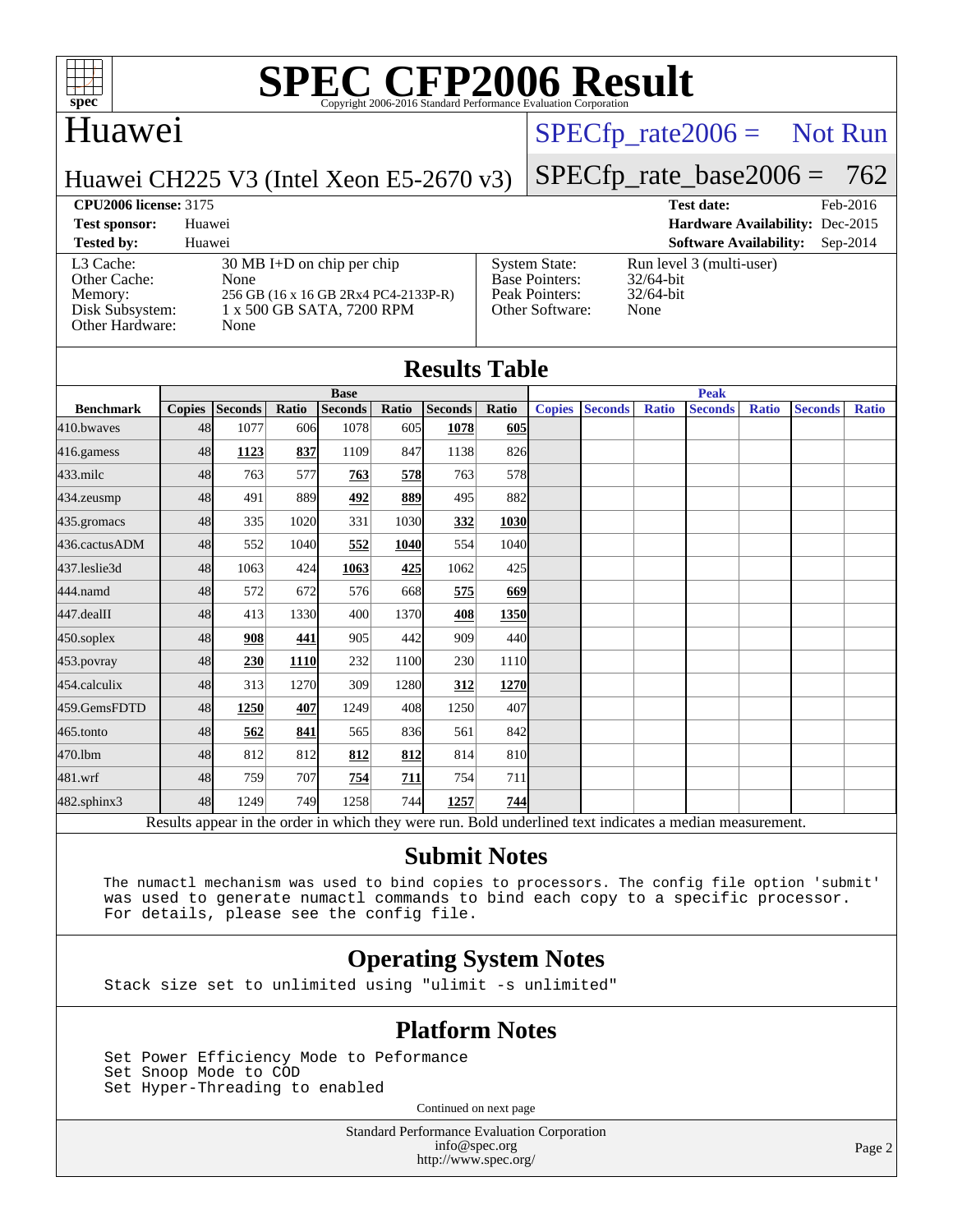

# Huawei

# $SPECTp\_rate2006 =$  Not Run

Huawei CH225 V3 (Intel Xeon E5-2670 v3)

[SPECfp\\_rate\\_base2006 =](http://www.spec.org/auto/cpu2006/Docs/result-fields.html#SPECfpratebase2006) 762

[System State:](http://www.spec.org/auto/cpu2006/Docs/result-fields.html#SystemState) Run level 3 (multi-user)<br>Base Pointers: 32/64-bit

[Peak Pointers:](http://www.spec.org/auto/cpu2006/Docs/result-fields.html#PeakPointers) 32/64-bit [Other Software:](http://www.spec.org/auto/cpu2006/Docs/result-fields.html#OtherSoftware) None

[Base Pointers:](http://www.spec.org/auto/cpu2006/Docs/result-fields.html#BasePointers)

**[CPU2006 license:](http://www.spec.org/auto/cpu2006/Docs/result-fields.html#CPU2006license)** 3175 **[Test date:](http://www.spec.org/auto/cpu2006/Docs/result-fields.html#Testdate)** Feb-2016 **[Test sponsor:](http://www.spec.org/auto/cpu2006/Docs/result-fields.html#Testsponsor)** Huawei **[Hardware Availability:](http://www.spec.org/auto/cpu2006/Docs/result-fields.html#HardwareAvailability)** Dec-2015

#### **[Tested by:](http://www.spec.org/auto/cpu2006/Docs/result-fields.html#Testedby)** Huawei **[Software Availability:](http://www.spec.org/auto/cpu2006/Docs/result-fields.html#SoftwareAvailability)** Sep-2014 [L3 Cache:](http://www.spec.org/auto/cpu2006/Docs/result-fields.html#L3Cache) 30 MB I+D on chip per chip<br>Other Cache: None [Other Cache:](http://www.spec.org/auto/cpu2006/Docs/result-fields.html#OtherCache) [Memory:](http://www.spec.org/auto/cpu2006/Docs/result-fields.html#Memory) 256 GB (16 x 16 GB 2Rx4 PC4-2133P-R) [Disk Subsystem:](http://www.spec.org/auto/cpu2006/Docs/result-fields.html#DiskSubsystem) 1 x 500 GB SATA, 7200 RPM [Other Hardware:](http://www.spec.org/auto/cpu2006/Docs/result-fields.html#OtherHardware) None

|                  |               |                |       |                |       | <b>Results Table</b> |       |               |                |              |                |              |                |              |  |  |
|------------------|---------------|----------------|-------|----------------|-------|----------------------|-------|---------------|----------------|--------------|----------------|--------------|----------------|--------------|--|--|
|                  | <b>Base</b>   |                |       |                |       |                      |       |               | <b>Peak</b>    |              |                |              |                |              |  |  |
| <b>Benchmark</b> | <b>Copies</b> | <b>Seconds</b> | Ratio | <b>Seconds</b> | Ratio | Seconds              | Ratio | <b>Copies</b> | <b>Seconds</b> | <b>Ratio</b> | <b>Seconds</b> | <b>Ratio</b> | <b>Seconds</b> | <b>Ratio</b> |  |  |
| 410.bwayes       | 48            | 1077           | 606   | 1078           | 605   | 1078                 | 605   |               |                |              |                |              |                |              |  |  |
| 416.gamess       | 48            | 1123           | 837   | 1109           | 847   | 1138                 | 826   |               |                |              |                |              |                |              |  |  |
| 433.milc         | 48            | 763            | 577   | 763            | 578   | 763                  | 578   |               |                |              |                |              |                |              |  |  |
| 434.zeusmp       | 48            | 491            | 889   | 492            | 889   | 495                  | 882   |               |                |              |                |              |                |              |  |  |
| 435.gromacs      | 48            | 335            | 1020  | 331            | 1030  | 332                  | 1030  |               |                |              |                |              |                |              |  |  |
| 436.cactusADM    | 48            | 552            | 1040  | 552            | 1040  | 554                  | 1040  |               |                |              |                |              |                |              |  |  |
| 437.leslie3d     | 48            | 1063           | 424   | 1063           | 425   | 1062                 | 425   |               |                |              |                |              |                |              |  |  |
| 444.namd         | 48            | 572            | 672   | 576            | 668   | 575                  | 669   |               |                |              |                |              |                |              |  |  |
| 447.dealII       | 48            | 413            | 1330  | 400            | 1370  | 408                  | 1350  |               |                |              |                |              |                |              |  |  |
| 450.soplex       | 48            | 908            | 441   | 905            | 442   | 909                  | 440   |               |                |              |                |              |                |              |  |  |
| 453.povray       | 48            | 230            | 1110  | 232            | 1100  | 230                  | 1110  |               |                |              |                |              |                |              |  |  |
| 454.calculix     | 48            | 313            | 1270  | 309            | 1280  | 312                  | 1270  |               |                |              |                |              |                |              |  |  |
| 459.GemsFDTD     | 48            | 1250           | 407   | 1249           | 408   | 1250                 | 407   |               |                |              |                |              |                |              |  |  |
| 465.tonto        | 48            | 562            | 841   | 565            | 836   | 561                  | 842   |               |                |              |                |              |                |              |  |  |
| 470.1bm          | 48            | 812            | 812   | 812            | 812   | 814                  | 810   |               |                |              |                |              |                |              |  |  |
| 481.wrf          | 48            | 759            | 707   | 754            | 711   | 754                  | 711   |               |                |              |                |              |                |              |  |  |
| 482.sphinx3      | 48            | 1249           | 749   | 1258           | 744   | 1257                 | 744   |               |                |              |                |              |                |              |  |  |

Results appear in the [order in which they were run.](http://www.spec.org/auto/cpu2006/Docs/result-fields.html#RunOrder) Bold underlined text [indicates a median measurement.](http://www.spec.org/auto/cpu2006/Docs/result-fields.html#Median)

### **[Submit Notes](http://www.spec.org/auto/cpu2006/Docs/result-fields.html#SubmitNotes)**

 The numactl mechanism was used to bind copies to processors. The config file option 'submit' was used to generate numactl commands to bind each copy to a specific processor. For details, please see the config file.

## **[Operating System Notes](http://www.spec.org/auto/cpu2006/Docs/result-fields.html#OperatingSystemNotes)**

Stack size set to unlimited using "ulimit -s unlimited"

### **[Platform Notes](http://www.spec.org/auto/cpu2006/Docs/result-fields.html#PlatformNotes)**

 Set Power Efficiency Mode to Peformance Set Snoop Mode to COD Set Hyper-Threading to enabled

Continued on next page

Standard Performance Evaluation Corporation [info@spec.org](mailto:info@spec.org) <http://www.spec.org/>

Page 2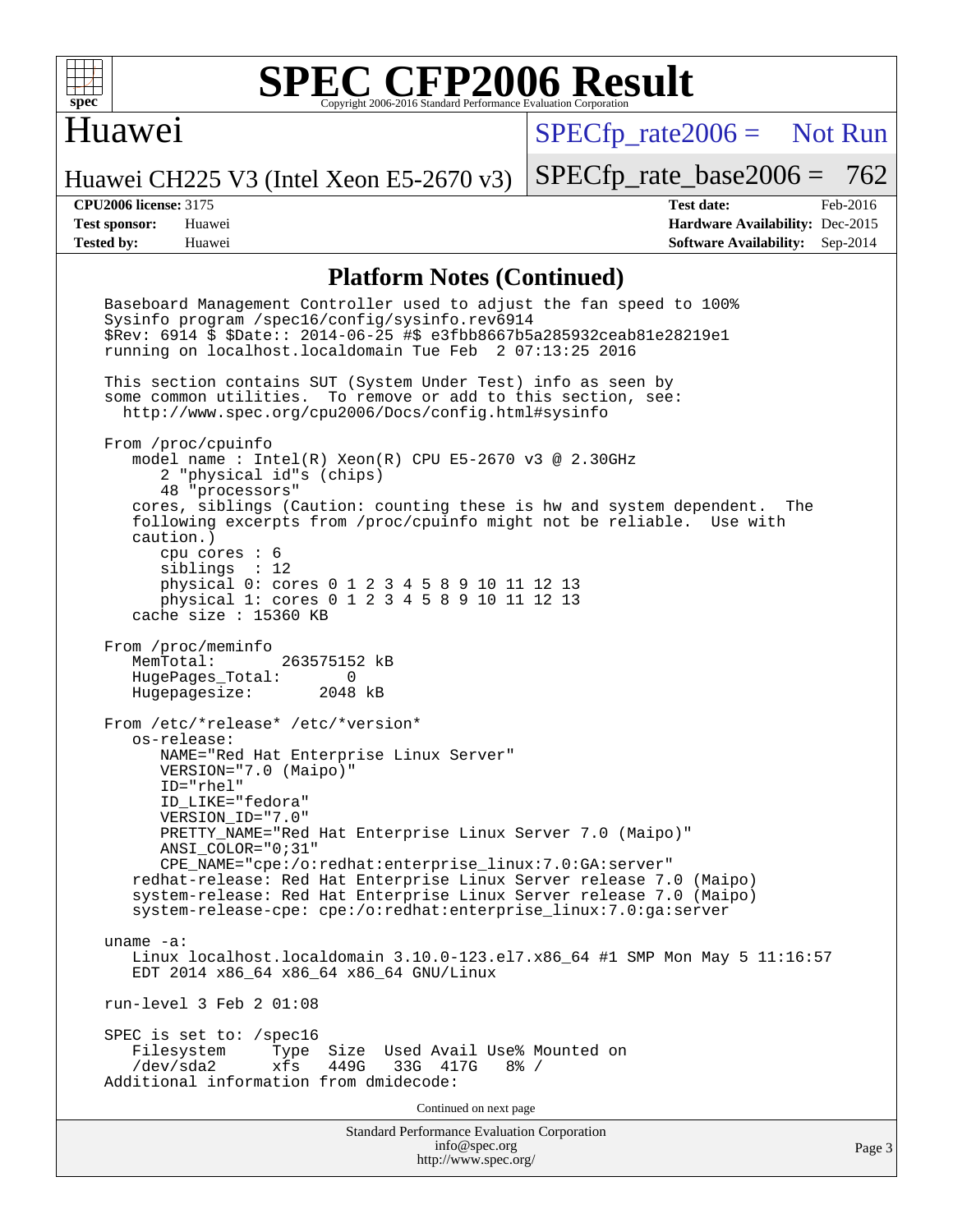

# Huawei

 $SPECTp\_rate2006 =$  Not Run

Huawei CH225 V3 (Intel Xeon E5-2670 v3)

[SPECfp\\_rate\\_base2006 =](http://www.spec.org/auto/cpu2006/Docs/result-fields.html#SPECfpratebase2006) 762

**[CPU2006 license:](http://www.spec.org/auto/cpu2006/Docs/result-fields.html#CPU2006license)** 3175 **[Test date:](http://www.spec.org/auto/cpu2006/Docs/result-fields.html#Testdate)** Feb-2016 **[Test sponsor:](http://www.spec.org/auto/cpu2006/Docs/result-fields.html#Testsponsor)** Huawei **[Hardware Availability:](http://www.spec.org/auto/cpu2006/Docs/result-fields.html#HardwareAvailability)** Dec-2015 **[Tested by:](http://www.spec.org/auto/cpu2006/Docs/result-fields.html#Testedby)** Huawei **[Software Availability:](http://www.spec.org/auto/cpu2006/Docs/result-fields.html#SoftwareAvailability)** Sep-2014

### **[Platform Notes \(Continued\)](http://www.spec.org/auto/cpu2006/Docs/result-fields.html#PlatformNotes)**

Standard Performance Evaluation Corporation [info@spec.org](mailto:info@spec.org) <http://www.spec.org/> Page 3 Baseboard Management Controller used to adjust the fan speed to 100% Sysinfo program /spec16/config/sysinfo.rev6914 \$Rev: 6914 \$ \$Date:: 2014-06-25 #\$ e3fbb8667b5a285932ceab81e28219e1 running on localhost.localdomain Tue Feb 2 07:13:25 2016 This section contains SUT (System Under Test) info as seen by some common utilities. To remove or add to this section, see: <http://www.spec.org/cpu2006/Docs/config.html#sysinfo> From /proc/cpuinfo model name : Intel(R) Xeon(R) CPU E5-2670 v3 @ 2.30GHz 2 "physical id"s (chips) 48 "processors" cores, siblings (Caution: counting these is hw and system dependent. The following excerpts from /proc/cpuinfo might not be reliable. Use with caution.) cpu cores : 6 siblings : 12 physical 0: cores 0 1 2 3 4 5 8 9 10 11 12 13 physical 1: cores 0 1 2 3 4 5 8 9 10 11 12 13 cache size : 15360 KB From /proc/meminfo MemTotal: 263575152 kB HugePages\_Total: 0<br>Hugepagesize: 2048 kB Hugepagesize: From /etc/\*release\* /etc/\*version\* os-release: NAME="Red Hat Enterprise Linux Server" VERSION="7.0 (Maipo)" ID="rhel" ID\_LIKE="fedora" VERSION\_ID="7.0" PRETTY NAME="Red Hat Enterprise Linux Server 7.0 (Maipo)" ANSI\_COLOR="0;31" CPE\_NAME="cpe:/o:redhat:enterprise\_linux:7.0:GA:server" redhat-release: Red Hat Enterprise Linux Server release 7.0 (Maipo) system-release: Red Hat Enterprise Linux Server release 7.0 (Maipo) system-release-cpe: cpe:/o:redhat:enterprise\_linux:7.0:ga:server uname -a: Linux localhost.localdomain 3.10.0-123.el7.x86\_64 #1 SMP Mon May 5 11:16:57 EDT 2014 x86\_64 x86\_64 x86\_64 GNU/Linux run-level 3 Feb 2 01:08 SPEC is set to: /spec16 Filesystem Type Size Used Avail Use% Mounted on<br>
/dev/sda2 xfs 449G 33G 417G 8% / 33G 417G Additional information from dmidecode: Continued on next page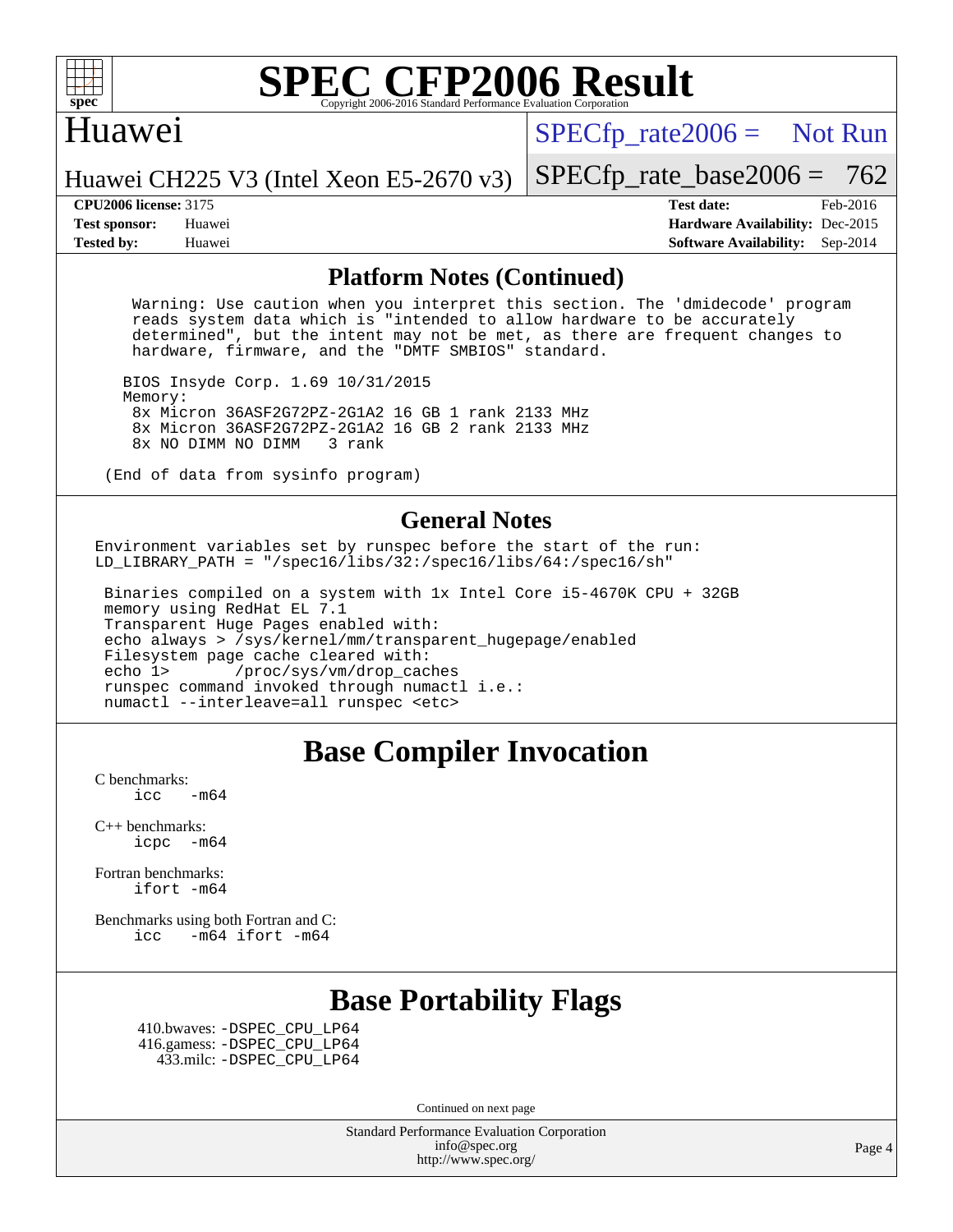

## Huawei

 $SPECTp\_rate2006 =$  Not Run

Huawei CH225 V3 (Intel Xeon E5-2670 v3)

**[Test sponsor:](http://www.spec.org/auto/cpu2006/Docs/result-fields.html#Testsponsor)** Huawei **[Hardware Availability:](http://www.spec.org/auto/cpu2006/Docs/result-fields.html#HardwareAvailability)** Dec-2015 **[Tested by:](http://www.spec.org/auto/cpu2006/Docs/result-fields.html#Testedby)** Huawei **[Software Availability:](http://www.spec.org/auto/cpu2006/Docs/result-fields.html#SoftwareAvailability)** Sep-2014

[SPECfp\\_rate\\_base2006 =](http://www.spec.org/auto/cpu2006/Docs/result-fields.html#SPECfpratebase2006) 762 **[CPU2006 license:](http://www.spec.org/auto/cpu2006/Docs/result-fields.html#CPU2006license)** 3175 **[Test date:](http://www.spec.org/auto/cpu2006/Docs/result-fields.html#Testdate)** Feb-2016

### **[Platform Notes \(Continued\)](http://www.spec.org/auto/cpu2006/Docs/result-fields.html#PlatformNotes)**

 Warning: Use caution when you interpret this section. The 'dmidecode' program reads system data which is "intended to allow hardware to be accurately determined", but the intent may not be met, as there are frequent changes to hardware, firmware, and the "DMTF SMBIOS" standard.

 BIOS Insyde Corp. 1.69 10/31/2015 Memory: 8x Micron 36ASF2G72PZ-2G1A2 16 GB 1 rank 2133 MHz 8x Micron 36ASF2G72PZ-2G1A2 16 GB 2 rank 2133 MHz 8x NO DIMM NO DIMM

(End of data from sysinfo program)

#### **[General Notes](http://www.spec.org/auto/cpu2006/Docs/result-fields.html#GeneralNotes)**

Environment variables set by runspec before the start of the run: LD LIBRARY PATH = "/spec16/libs/32:/spec16/libs/64:/spec16/sh"

 Binaries compiled on a system with 1x Intel Core i5-4670K CPU + 32GB memory using RedHat EL 7.1 Transparent Huge Pages enabled with: echo always > /sys/kernel/mm/transparent\_hugepage/enabled Filesystem page cache cleared with: echo 1> /proc/sys/vm/drop\_caches runspec command invoked through numactl i.e.: numactl --interleave=all runspec <etc>

# **[Base Compiler Invocation](http://www.spec.org/auto/cpu2006/Docs/result-fields.html#BaseCompilerInvocation)**

[C benchmarks](http://www.spec.org/auto/cpu2006/Docs/result-fields.html#Cbenchmarks):  $\text{icc}$  -m64

[C++ benchmarks:](http://www.spec.org/auto/cpu2006/Docs/result-fields.html#CXXbenchmarks) [icpc -m64](http://www.spec.org/cpu2006/results/res2016q1/cpu2006-20160202-38959.flags.html#user_CXXbase_intel_icpc_64bit_bedb90c1146cab66620883ef4f41a67e)

[Fortran benchmarks](http://www.spec.org/auto/cpu2006/Docs/result-fields.html#Fortranbenchmarks): [ifort -m64](http://www.spec.org/cpu2006/results/res2016q1/cpu2006-20160202-38959.flags.html#user_FCbase_intel_ifort_64bit_ee9d0fb25645d0210d97eb0527dcc06e)

[Benchmarks using both Fortran and C](http://www.spec.org/auto/cpu2006/Docs/result-fields.html#BenchmarksusingbothFortranandC): [icc -m64](http://www.spec.org/cpu2006/results/res2016q1/cpu2006-20160202-38959.flags.html#user_CC_FCbase_intel_icc_64bit_0b7121f5ab7cfabee23d88897260401c) [ifort -m64](http://www.spec.org/cpu2006/results/res2016q1/cpu2006-20160202-38959.flags.html#user_CC_FCbase_intel_ifort_64bit_ee9d0fb25645d0210d97eb0527dcc06e)

# **[Base Portability Flags](http://www.spec.org/auto/cpu2006/Docs/result-fields.html#BasePortabilityFlags)**

 410.bwaves: [-DSPEC\\_CPU\\_LP64](http://www.spec.org/cpu2006/results/res2016q1/cpu2006-20160202-38959.flags.html#suite_basePORTABILITY410_bwaves_DSPEC_CPU_LP64) 416.gamess: [-DSPEC\\_CPU\\_LP64](http://www.spec.org/cpu2006/results/res2016q1/cpu2006-20160202-38959.flags.html#suite_basePORTABILITY416_gamess_DSPEC_CPU_LP64) 433.milc: [-DSPEC\\_CPU\\_LP64](http://www.spec.org/cpu2006/results/res2016q1/cpu2006-20160202-38959.flags.html#suite_basePORTABILITY433_milc_DSPEC_CPU_LP64)

Continued on next page

Standard Performance Evaluation Corporation [info@spec.org](mailto:info@spec.org) <http://www.spec.org/>

Page 4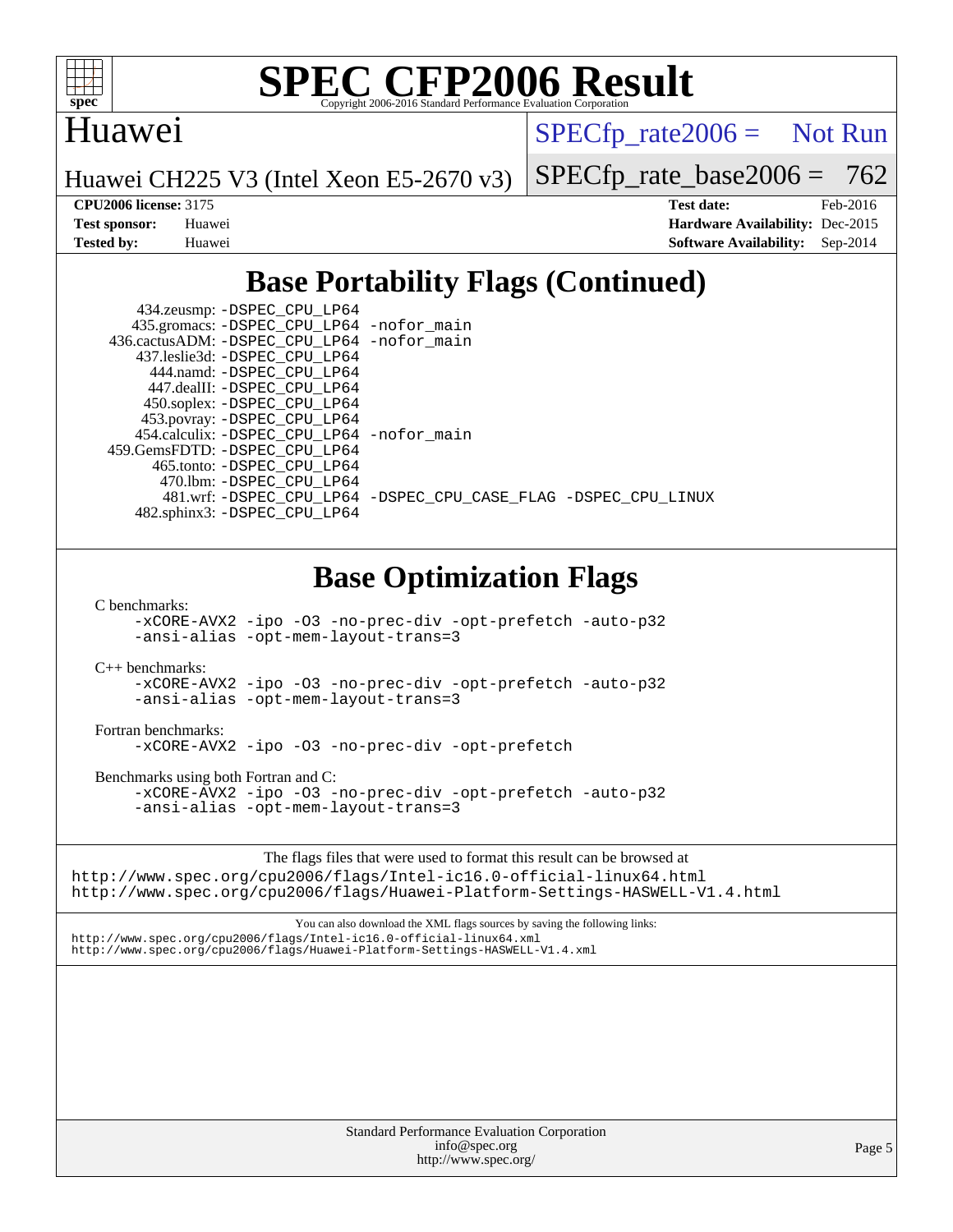

# Huawei

 $SPECTp\_rate2006 =$  Not Run

Huawei CH225 V3 (Intel Xeon E5-2670 v3)

[SPECfp\\_rate\\_base2006 =](http://www.spec.org/auto/cpu2006/Docs/result-fields.html#SPECfpratebase2006) 762

**[CPU2006 license:](http://www.spec.org/auto/cpu2006/Docs/result-fields.html#CPU2006license)** 3175 **[Test date:](http://www.spec.org/auto/cpu2006/Docs/result-fields.html#Testdate)** Feb-2016 **[Test sponsor:](http://www.spec.org/auto/cpu2006/Docs/result-fields.html#Testsponsor)** Huawei **[Hardware Availability:](http://www.spec.org/auto/cpu2006/Docs/result-fields.html#HardwareAvailability)** Dec-2015 **[Tested by:](http://www.spec.org/auto/cpu2006/Docs/result-fields.html#Testedby)** Huawei **[Software Availability:](http://www.spec.org/auto/cpu2006/Docs/result-fields.html#SoftwareAvailability)** Sep-2014

# **[Base Portability Flags \(Continued\)](http://www.spec.org/auto/cpu2006/Docs/result-fields.html#BasePortabilityFlags)**

| 434.zeusmp: -DSPEC_CPU_LP64                 |                                                                |
|---------------------------------------------|----------------------------------------------------------------|
| 435.gromacs: -DSPEC_CPU_LP64 -nofor_main    |                                                                |
| 436.cactusADM: -DSPEC CPU LP64 -nofor main  |                                                                |
| 437.leslie3d: -DSPEC CPU LP64               |                                                                |
| 444.namd: -DSPEC CPU LP64                   |                                                                |
| 447.dealII: -DSPEC_CPU LP64                 |                                                                |
| 450.soplex: -DSPEC_CPU_LP64                 |                                                                |
| 453.povray: -DSPEC_CPU_LP64                 |                                                                |
| 454.calculix: - DSPEC CPU LP64 - nofor main |                                                                |
| 459. GemsFDTD: - DSPEC CPU LP64             |                                                                |
| 465.tonto: -DSPEC CPU LP64                  |                                                                |
| 470.1bm: - DSPEC CPU LP64                   |                                                                |
|                                             | 481.wrf: -DSPEC_CPU_LP64 -DSPEC_CPU_CASE_FLAG -DSPEC_CPU_LINUX |
| 482.sphinx3: -DSPEC_CPU_LP64                |                                                                |
|                                             |                                                                |

# **[Base Optimization Flags](http://www.spec.org/auto/cpu2006/Docs/result-fields.html#BaseOptimizationFlags)**

[C benchmarks](http://www.spec.org/auto/cpu2006/Docs/result-fields.html#Cbenchmarks):

[-xCORE-AVX2](http://www.spec.org/cpu2006/results/res2016q1/cpu2006-20160202-38959.flags.html#user_CCbase_f-xAVX2_5f5fc0cbe2c9f62c816d3e45806c70d7) [-ipo](http://www.spec.org/cpu2006/results/res2016q1/cpu2006-20160202-38959.flags.html#user_CCbase_f-ipo) [-O3](http://www.spec.org/cpu2006/results/res2016q1/cpu2006-20160202-38959.flags.html#user_CCbase_f-O3) [-no-prec-div](http://www.spec.org/cpu2006/results/res2016q1/cpu2006-20160202-38959.flags.html#user_CCbase_f-no-prec-div) [-opt-prefetch](http://www.spec.org/cpu2006/results/res2016q1/cpu2006-20160202-38959.flags.html#user_CCbase_f-opt-prefetch) [-auto-p32](http://www.spec.org/cpu2006/results/res2016q1/cpu2006-20160202-38959.flags.html#user_CCbase_f-auto-p32) [-ansi-alias](http://www.spec.org/cpu2006/results/res2016q1/cpu2006-20160202-38959.flags.html#user_CCbase_f-ansi-alias) [-opt-mem-layout-trans=3](http://www.spec.org/cpu2006/results/res2016q1/cpu2006-20160202-38959.flags.html#user_CCbase_f-opt-mem-layout-trans_a7b82ad4bd7abf52556d4961a2ae94d5)

[C++ benchmarks:](http://www.spec.org/auto/cpu2006/Docs/result-fields.html#CXXbenchmarks)

[-xCORE-AVX2](http://www.spec.org/cpu2006/results/res2016q1/cpu2006-20160202-38959.flags.html#user_CXXbase_f-xAVX2_5f5fc0cbe2c9f62c816d3e45806c70d7) [-ipo](http://www.spec.org/cpu2006/results/res2016q1/cpu2006-20160202-38959.flags.html#user_CXXbase_f-ipo) [-O3](http://www.spec.org/cpu2006/results/res2016q1/cpu2006-20160202-38959.flags.html#user_CXXbase_f-O3) [-no-prec-div](http://www.spec.org/cpu2006/results/res2016q1/cpu2006-20160202-38959.flags.html#user_CXXbase_f-no-prec-div) [-opt-prefetch](http://www.spec.org/cpu2006/results/res2016q1/cpu2006-20160202-38959.flags.html#user_CXXbase_f-opt-prefetch) [-auto-p32](http://www.spec.org/cpu2006/results/res2016q1/cpu2006-20160202-38959.flags.html#user_CXXbase_f-auto-p32) [-ansi-alias](http://www.spec.org/cpu2006/results/res2016q1/cpu2006-20160202-38959.flags.html#user_CXXbase_f-ansi-alias) [-opt-mem-layout-trans=3](http://www.spec.org/cpu2006/results/res2016q1/cpu2006-20160202-38959.flags.html#user_CXXbase_f-opt-mem-layout-trans_a7b82ad4bd7abf52556d4961a2ae94d5)

[Fortran benchmarks](http://www.spec.org/auto/cpu2006/Docs/result-fields.html#Fortranbenchmarks):

[-xCORE-AVX2](http://www.spec.org/cpu2006/results/res2016q1/cpu2006-20160202-38959.flags.html#user_FCbase_f-xAVX2_5f5fc0cbe2c9f62c816d3e45806c70d7) [-ipo](http://www.spec.org/cpu2006/results/res2016q1/cpu2006-20160202-38959.flags.html#user_FCbase_f-ipo) [-O3](http://www.spec.org/cpu2006/results/res2016q1/cpu2006-20160202-38959.flags.html#user_FCbase_f-O3) [-no-prec-div](http://www.spec.org/cpu2006/results/res2016q1/cpu2006-20160202-38959.flags.html#user_FCbase_f-no-prec-div) [-opt-prefetch](http://www.spec.org/cpu2006/results/res2016q1/cpu2006-20160202-38959.flags.html#user_FCbase_f-opt-prefetch)

[Benchmarks using both Fortran and C](http://www.spec.org/auto/cpu2006/Docs/result-fields.html#BenchmarksusingbothFortranandC):

[-xCORE-AVX2](http://www.spec.org/cpu2006/results/res2016q1/cpu2006-20160202-38959.flags.html#user_CC_FCbase_f-xAVX2_5f5fc0cbe2c9f62c816d3e45806c70d7) [-ipo](http://www.spec.org/cpu2006/results/res2016q1/cpu2006-20160202-38959.flags.html#user_CC_FCbase_f-ipo) [-O3](http://www.spec.org/cpu2006/results/res2016q1/cpu2006-20160202-38959.flags.html#user_CC_FCbase_f-O3) [-no-prec-div](http://www.spec.org/cpu2006/results/res2016q1/cpu2006-20160202-38959.flags.html#user_CC_FCbase_f-no-prec-div) [-opt-prefetch](http://www.spec.org/cpu2006/results/res2016q1/cpu2006-20160202-38959.flags.html#user_CC_FCbase_f-opt-prefetch) [-auto-p32](http://www.spec.org/cpu2006/results/res2016q1/cpu2006-20160202-38959.flags.html#user_CC_FCbase_f-auto-p32) [-ansi-alias](http://www.spec.org/cpu2006/results/res2016q1/cpu2006-20160202-38959.flags.html#user_CC_FCbase_f-ansi-alias) [-opt-mem-layout-trans=3](http://www.spec.org/cpu2006/results/res2016q1/cpu2006-20160202-38959.flags.html#user_CC_FCbase_f-opt-mem-layout-trans_a7b82ad4bd7abf52556d4961a2ae94d5)

The flags files that were used to format this result can be browsed at <http://www.spec.org/cpu2006/flags/Intel-ic16.0-official-linux64.html> <http://www.spec.org/cpu2006/flags/Huawei-Platform-Settings-HASWELL-V1.4.html>

You can also download the XML flags sources by saving the following links: <http://www.spec.org/cpu2006/flags/Intel-ic16.0-official-linux64.xml>

<http://www.spec.org/cpu2006/flags/Huawei-Platform-Settings-HASWELL-V1.4.xml>

Standard Performance Evaluation Corporation [info@spec.org](mailto:info@spec.org) <http://www.spec.org/>